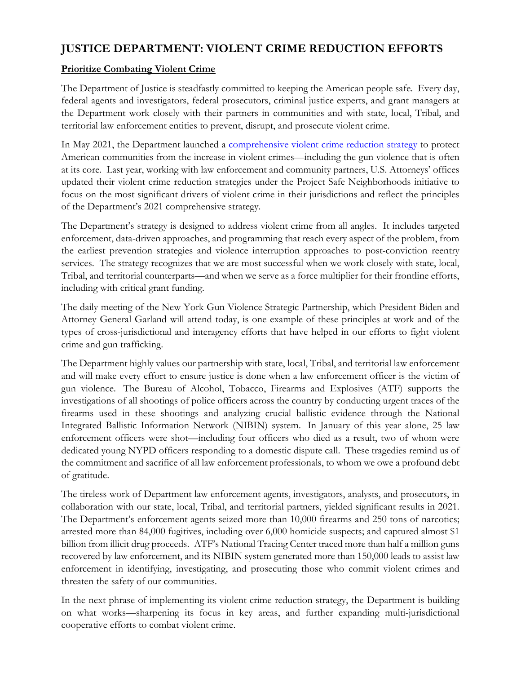## **JUSTICE DEPARTMENT: VIOLENT CRIME REDUCTION EFFORTS**

## **Prioritize Combating Violent Crime**

The Department of Justice is steadfastly committed to keeping the American people safe. Every day, federal agents and investigators, federal prosecutors, criminal justice experts, and grant managers at the Department work closely with their partners in communities and with state, local, Tribal, and territorial law enforcement entities to prevent, disrupt, and prosecute violent crime.

In May 2021, the Department launched a [comprehensive violent crime reduction strategy](https://www.justice.gov/dag/page/file/1397921/download) to protect American communities from the increase in violent crimes—including the gun violence that is often at its core. Last year, working with law enforcement and community partners, U.S. Attorneys' offices updated their violent crime reduction strategies under the Project Safe Neighborhoods initiative to focus on the most significant drivers of violent crime in their jurisdictions and reflect the principles of the Department's 2021 comprehensive strategy.

The Department's strategy is designed to address violent crime from all angles. It includes targeted enforcement, data-driven approaches, and programming that reach every aspect of the problem, from the earliest prevention strategies and violence interruption approaches to post-conviction reentry services. The strategy recognizes that we are most successful when we work closely with state, local, Tribal, and territorial counterparts—and when we serve as a force multiplier for their frontline efforts, including with critical grant funding.

The daily meeting of the New York Gun Violence Strategic Partnership, which President Biden and Attorney General Garland will attend today, is one example of these principles at work and of the types of cross-jurisdictional and interagency efforts that have helped in our efforts to fight violent crime and gun trafficking.

The Department highly values our partnership with state, local, Tribal, and territorial law enforcement and will make every effort to ensure justice is done when a law enforcement officer is the victim of gun violence. The Bureau of Alcohol, Tobacco, Firearms and Explosives (ATF) supports the investigations of all shootings of police officers across the country by conducting urgent traces of the firearms used in these shootings and analyzing crucial ballistic evidence through the National Integrated Ballistic Information Network (NIBIN) system. In January of this year alone, 25 law enforcement officers were shot—including four officers who died as a result, two of whom were dedicated young NYPD officers responding to a domestic dispute call. These tragedies remind us of the commitment and sacrifice of all law enforcement professionals, to whom we owe a profound debt of gratitude.

The tireless work of Department law enforcement agents, investigators, analysts, and prosecutors, in collaboration with our state, local, Tribal, and territorial partners, yielded significant results in 2021. The Department's enforcement agents seized more than 10,000 firearms and 250 tons of narcotics; arrested more than 84,000 fugitives, including over 6,000 homicide suspects; and captured almost \$1 billion from illicit drug proceeds. ATF's National Tracing Center traced more than half a million guns recovered by law enforcement, and its NIBIN system generated more than 150,000 leads to assist law enforcement in identifying, investigating, and prosecuting those who commit violent crimes and threaten the safety of our communities.

In the next phrase of implementing its violent crime reduction strategy, the Department is building on what works—sharpening its focus in key areas, and further expanding multi-jurisdictional cooperative efforts to combat violent crime.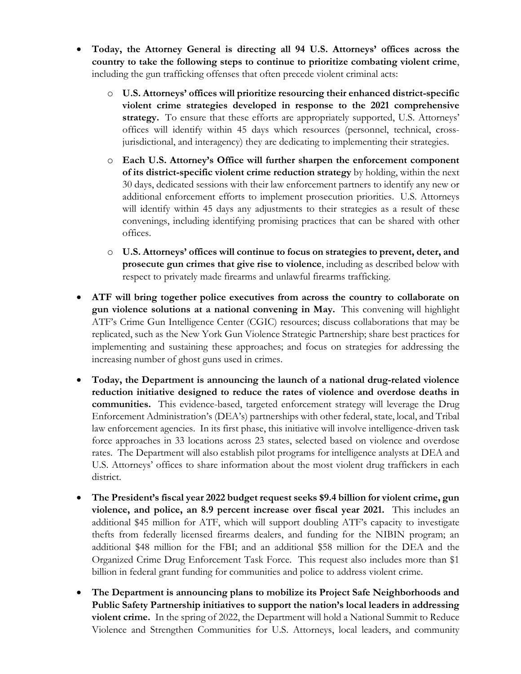- **Today, the Attorney General is directing all 94 U.S. Attorneys' offices across the country to take the following steps to continue to prioritize combating violent crime**, including the gun trafficking offenses that often precede violent criminal acts:
	- o **U.S. Attorneys' offices will prioritize resourcing their enhanced district-specific violent crime strategies developed in response to the 2021 comprehensive strategy.** To ensure that these efforts are appropriately supported, U.S. Attorneys' offices will identify within 45 days which resources (personnel, technical, crossjurisdictional, and interagency) they are dedicating to implementing their strategies.
	- o **Each U.S. Attorney's Office will further sharpen the enforcement component of its district-specific violent crime reduction strategy** by holding, within the next 30 days, dedicated sessions with their law enforcement partners to identify any new or additional enforcement efforts to implement prosecution priorities. U.S. Attorneys will identify within 45 days any adjustments to their strategies as a result of these convenings, including identifying promising practices that can be shared with other offices.
	- o **U.S. Attorneys' offices will continue to focus on strategies to prevent, deter, and prosecute gun crimes that give rise to violence**, including as described below with respect to privately made firearms and unlawful firearms trafficking.
- **ATF will bring together police executives from across the country to collaborate on gun violence solutions at a national convening in May.** This convening will highlight ATF's Crime Gun Intelligence Center (CGIC) resources; discuss collaborations that may be replicated, such as the New York Gun Violence Strategic Partnership; share best practices for implementing and sustaining these approaches; and focus on strategies for addressing the increasing number of ghost guns used in crimes.
- **Today, the Department is announcing the launch of a national drug-related violence reduction initiative designed to reduce the rates of violence and overdose deaths in communities.** This evidence-based, targeted enforcement strategy will leverage the Drug Enforcement Administration's (DEA's) partnerships with other federal, state, local, and Tribal law enforcement agencies. In its first phase, this initiative will involve intelligence-driven task force approaches in 33 locations across 23 states, selected based on violence and overdose rates. The Department will also establish pilot programs for intelligence analysts at DEA and U.S. Attorneys' offices to share information about the most violent drug traffickers in each district.
- **The President's fiscal year 2022 budget request seeks \$9.4 billion for violent crime, gun violence, and police, an 8.9 percent increase over fiscal year 2021.** This includes an additional \$45 million for ATF, which will support doubling ATF's capacity to investigate thefts from federally licensed firearms dealers, and funding for the NIBIN program; an additional \$48 million for the FBI; and an additional \$58 million for the DEA and the Organized Crime Drug Enforcement Task Force. This request also includes more than \$1 billion in federal grant funding for communities and police to address violent crime.
- **The Department is announcing plans to mobilize its Project Safe Neighborhoods and Public Safety Partnership initiatives to support the nation's local leaders in addressing violent crime.** In the spring of 2022, the Department will hold a National Summit to Reduce Violence and Strengthen Communities for U.S. Attorneys, local leaders, and community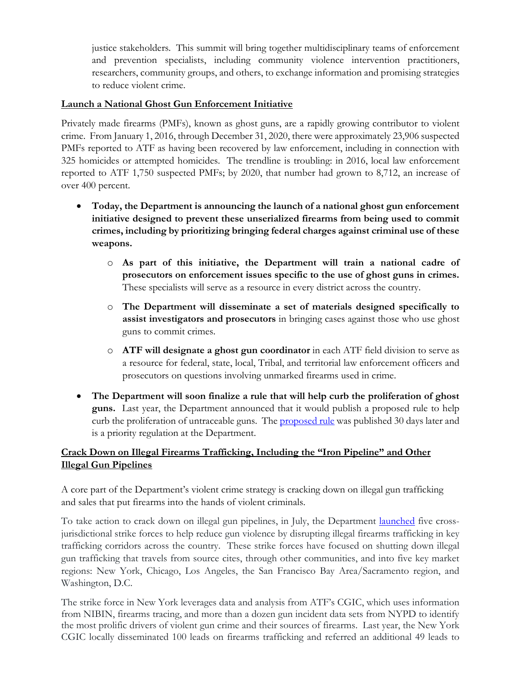justice stakeholders. This summit will bring together multidisciplinary teams of enforcement and prevention specialists, including community violence intervention practitioners, researchers, community groups, and others, to exchange information and promising strategies to reduce violent crime.

## **Launch a National Ghost Gun Enforcement Initiative**

Privately made firearms (PMFs), known as ghost guns, are a rapidly growing contributor to violent crime. From January 1, 2016, through December 31, 2020, there were approximately 23,906 suspected PMFs reported to ATF as having been recovered by law enforcement, including in connection with 325 homicides or attempted homicides. The trendline is troubling: in 2016, local law enforcement reported to ATF 1,750 suspected PMFs; by 2020, that number had grown to 8,712, an increase of over 400 percent.

- **Today, the Department is announcing the launch of a national ghost gun enforcement initiative designed to prevent these unserialized firearms from being used to commit crimes, including by prioritizing bringing federal charges against criminal use of these weapons.** 
	- o **As part of this initiative, the Department will train a national cadre of prosecutors on enforcement issues specific to the use of ghost guns in crimes.** These specialists will serve as a resource in every district across the country.
	- o **The Department will disseminate a set of materials designed specifically to assist investigators and prosecutors** in bringing cases against those who use ghost guns to commit crimes.
	- o **ATF will designate a ghost gun coordinator** in each ATF field division to serve as a resource for federal, state, local, Tribal, and territorial law enforcement officers and prosecutors on questions involving unmarked firearms used in crime.
- **The Department will soon finalize a rule that will help curb the proliferation of ghost guns.** Last year, the Department announced that it would publish a proposed rule to help curb the proliferation of untraceable guns. The [proposed rule](https://www.federalregister.gov/documents/2021/05/21/2021-10058/definition-of-frame-or-receiver-and-identification-of-firearms) was published 30 days later and is a priority regulation at the Department.

## **Crack Down on Illegal Firearms Trafficking, Including the "Iron Pipeline" and Other Illegal Gun Pipelines**

A core part of the Department's violent crime strategy is cracking down on illegal gun trafficking and sales that put firearms into the hands of violent criminals.

To take action to crack down on illegal gun pipelines, in July, the Department [launched](https://www.justice.gov/opa/pr/justice-department-launches-firearms-trafficking-strike-forces-address-violent-crime-crack) five crossjurisdictional strike forces to help reduce gun violence by disrupting illegal firearms trafficking in key trafficking corridors across the country. These strike forces have focused on shutting down illegal gun trafficking that travels from source cites, through other communities, and into five key market regions: New York, Chicago, Los Angeles, the San Francisco Bay Area/Sacramento region, and Washington, D.C.

The strike force in New York leverages data and analysis from ATF's CGIC, which uses information from NIBIN, firearms tracing, and more than a dozen gun incident data sets from NYPD to identify the most prolific drivers of violent gun crime and their sources of firearms. Last year, the New York CGIC locally disseminated 100 leads on firearms trafficking and referred an additional 49 leads to